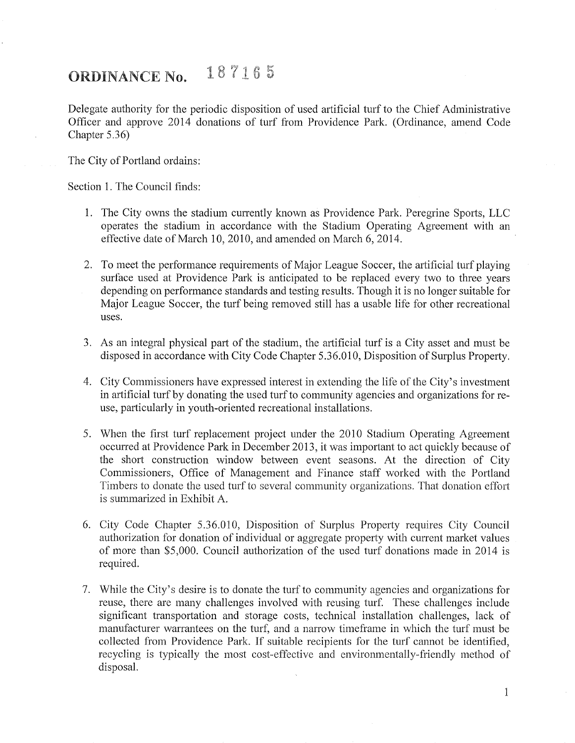## ORDINANCE No.  $187165$

Delegate authority for the periodic disposition of used artificial turf to the Chief Administrative Officer and approve 2014 donations of turf from Providence Park. (Ordinance, amend Code Chapter 5.36)

The City of Portland ordains:

Section 1. The Council finds:

- 1. The City owns the stadium currently known as Providence Park. Peregrine Sports, LLC operates the stadium in accordance with the Stadium Operating Agreement with an effective date of March 10, 2010, and amended on March 6, 2014.
- 2. To meet the performance requirements of Major League Soccer, the artificial turf playing surface used at Providence Park is anticipated to be replaced every two to three years depending on performance standards and testing results. Though it is no longer suitable for Major League Soccer, the turf being removed still has a usable life for other recreational uses.
- 3. As an integral physical part of the stadium, the artificial turf is a City asset and must be disposed in accordance with City Code Chapter 5.36.010, Disposition of Surplus Property.
- 4. City Commissioners have expressed interest in extending the life of the City's investment in artificial turf by donating the used turf to community agencies and organizations for reuse, particularly in youth-oriented recreational installations.
- 5. When the first turf replacement project under the 2010 Stadium Operating Agreement occurred at Providence Park in December 2013, it was important to act quickly because of the short construction window between event seasons. At the direction of City Commissioners, Office of Management and Finance staff worked with the Portland Timbers to donate the used turf to several community organizations. That donation effort is summarized in Exhibit A.
- 6. City Code Chapter 5.36.010, Disposition of Surplus Property requires City Council authorization for donation of individual or aggregate property with current market values of more than \$5,000. Council authorization of the used turf donations made in 2014 is required.
- 7. While the City's desire is to donate the turf to community agencies and organizations for reuse, there are many challenges involved with reusing turf. These challenges include significant transportation and storage costs, technical installation challenges, lack of manufacturer warrantees on the turf, and a narrow timeframe in which the turf must be collected from Providence Park. If suitable recipients for the turf cannot be identified, recycling is typically the most cost-effective and environmentally-friendly method of disposal.

1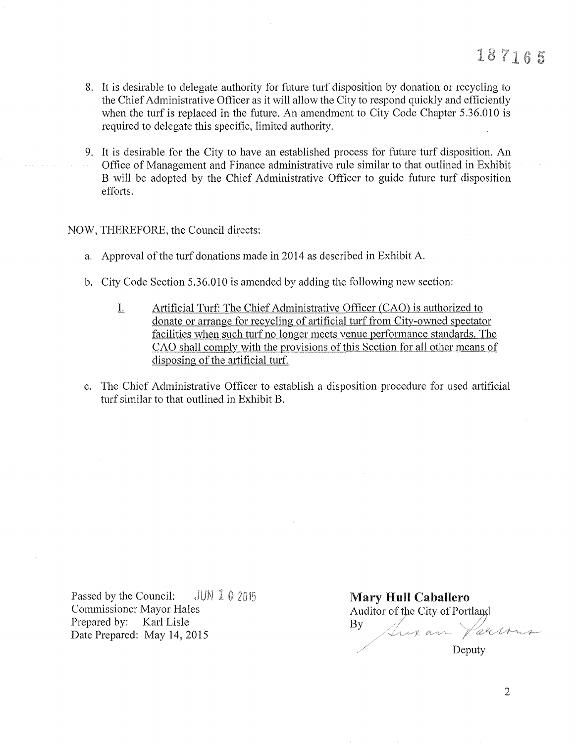- 8. It is desirable to delegate authority for future turf disposition by donation or recycling to the Chief Administrative Officer as it will allow the City to respond quickly and efficiently when the turf is replaced in the future. An amendment to City Code Chapter 5.36.010 is required to delegate this specific, limited authority.
- 9. It is desirable for the City to have an established process for future turf disposition. An Office of Management and Finance administrative rule similar to that outlined in Exhibit B will be adopted by the Chief Administrative Officer to guide future turf disposition efforts.

## NOW, THEREFORE, the Council directs:

- a. Approval of the turf donations made in 2014 as described in Exhibit A.
- b. City Code Section 5.36.010 is amended by adding the following new section:
	- L Artificial Turf: The Chief Administrative Officer (CAO) is authorized to donate or arrange for recycling of artificial turf from City-owned spectator facilities when such turf no longer meets venue performance standards. The CAO shall comply with the provisions of this Section for all other means of disposing of the artificial turf.
- c. The Chief Administrative Officer to establish a disposition procedure for used artificial turf similar to that outlined in Exhibit B.

Passed by the Council:  $JUNI02015$ Commissioner Mayor Hales Prepared by: Karl Lisle Date Prepared: May 14, 2015

Mary Hull Caballero Auditor of the City of Portland<br>By  $By$  *flux an*  $\sqrt{a}$ Deputy